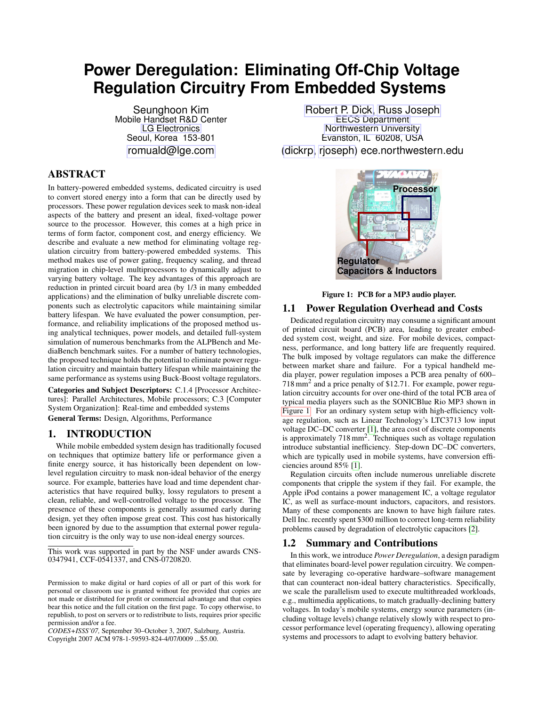# **Power Deregulation: Eliminating Off-Chip Voltage Regulation Circuitry From Embedded Systems**

Seunghoon Kim Mobile Handset R&D Center [LG Electronics](http://www.lge.com/) Seoul, Korea 153-801 [romuald@lge.com](mailto:romuald@lge.com)

# ABSTRACT

In battery-powered embedded systems, dedicated circuitry is used to convert stored energy into a form that can be directly used by processors. These power regulation devices seek to mask non-ideal aspects of the battery and present an ideal, fixed-voltage power source to the processor. However, this comes at a high price in terms of form factor, component cost, and energy efficiency. We describe and evaluate a new method for eliminating voltage regulation circuitry from battery-powered embedded systems. This method makes use of power gating, frequency scaling, and thread migration in chip-level multiprocessors to dynamically adjust to varying battery voltage. The key advantages of this approach are reduction in printed circuit board area (by 1/3 in many embedded applications) and the elimination of bulky unreliable discrete components such as electrolytic capacitors while maintaining similar battery lifespan. We have evaluated the power consumption, performance, and reliability implications of the proposed method using analytical techniques, power models, and detailed full-system simulation of numerous benchmarks from the ALPBench and MediaBench benchmark suites. For a number of battery technologies, the proposed technique holds the potential to eliminate power regulation circuitry and maintain battery lifespan while maintaining the same performance as systems using Buck-Boost voltage regulators.

Categories and Subject Descriptors: C.1.4 [Processor Architectures]: Parallel Architectures, Mobile processors; C.3 [Computer System Organization]: Real-time and embedded systems

General Terms: Design, Algorithms, Performance

# 1. INTRODUCTION

While mobile embedded system design has traditionally focused on techniques that optimize battery life or performance given a finite energy source, it has historically been dependent on lowlevel regulation circuitry to mask non-ideal behavior of the energy source. For example, batteries have load and time dependent characteristics that have required bulky, lossy regulators to present a clean, reliable, and well-controlled voltage to the processor. The presence of these components is generally assumed early during design, yet they often impose great cost. This cost has historically been ignored by due to the assumption that external power regulation circuitry is the only way to use non-ideal energy sources.

[Robert P. Dick,](http://robertdick.org/) [Russ Joseph](http://www.ece.northwestern.edu/~rjoseph/) [EECS Department](http://www.eecs.northwestern.edu/) [Northwestern University](http://www.northwestern.edu) Evanston, IL 60208, USA [\(dickrp,](mailto:dickrp@northwestern.edu) [rjoseph\)](mailto:rjoseph@ece.northwestern.edu) ece.northwestern.edu



# <span id="page-0-0"></span>Figure 1: PCB for a MP3 audio player.

#### 1.1 Power Regulation Overhead and Costs

Dedicated regulation circuitry may consume a significant amount of printed circuit board (PCB) area, leading to greater embedded system cost, weight, and size. For mobile devices, compactness, performance, and long battery life are frequently required. The bulk imposed by voltage regulators can make the difference between market share and failure. For a typical handheld media player, power regulation imposes a PCB area penalty of 600– 718 mm<sup>2</sup> and a price penalty of \$12.71. For example, power regulation circuitry accounts for over one-third of the total PCB area of typical media players such as the SONICBlue Rio MP3 shown in [Figure 1.](#page-0-0) For an ordinary system setup with high-efficiency voltage regulation, such as Linear Technology's LTC3713 low input voltage DC–DC converter [\[1\]](#page-5-0), the area cost of discrete components is approximately 718 mm<sup>2</sup>. Techniques such as voltage regulation introduce substantial inefficiency. Step-down DC–DC converters, which are typically used in mobile systems, have conversion efficiencies around 85% [\[1\]](#page-5-0).

Regulation circuits often include numerous unreliable discrete components that cripple the system if they fail. For example, the Apple iPod contains a power management IC, a voltage regulator IC, as well as surface-mount inductors, capacitors, and resistors. Many of these components are known to have high failure rates. Dell Inc. recently spent \$300 million to correct long-term reliability problems caused by degradation of electrolytic capacitors [\[2\]](#page-5-1).

#### 1.2 Summary and Contributions

In this work, we introduce *Power Deregulation*, a design paradigm that eliminates board-level power regulation circuitry. We compensate by leveraging co-operative hardware–software management that can counteract non-ideal battery characteristics. Specifically, we scale the parallelism used to execute multithreaded workloads, e.g., multimedia applications, to match gradually-declining battery voltages. In today's mobile systems, energy source parameters (including voltage levels) change relatively slowly with respect to processor performance level (operating frequency), allowing operating systems and processors to adapt to evolving battery behavior.

This work was supported in part by the NSF under awards CNS-0347941, CCF-0541337, and CNS-0720820.

Permission to make digital or hard copies of all or part of this work for personal or classroom use is granted without fee provided that copies are not made or distributed for profit or commercial advantage and that copies bear this notice and the full citation on the first page. To copy otherwise, to republish, to post on servers or to redistribute to lists, requires prior specific permission and/or a fee.

*CODES+ISSS'07,* September 30–October 3, 2007, Salzburg, Austria. Copyright 2007 ACM 978-1-59593-824-4/07/0009 ...\$5.00.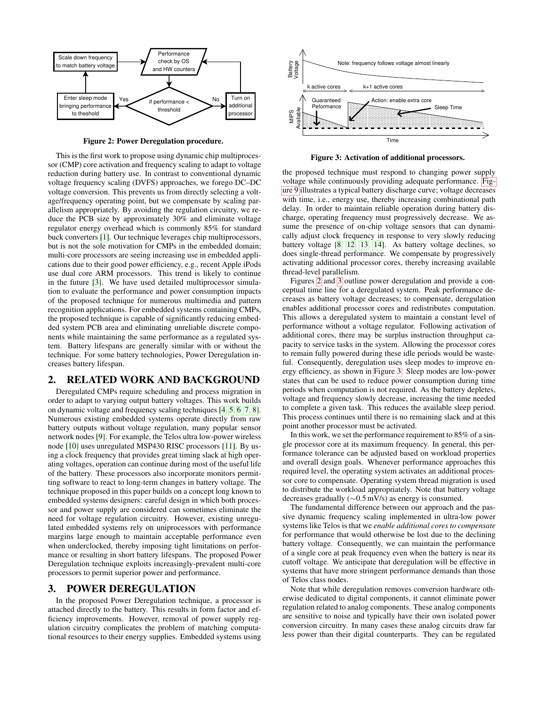

<span id="page-1-0"></span>Figure 2: Power Deregulation procedure.

This is the first work to propose using dynamic chip multiprocessor (CMP) core activation and frequency scaling to adapt to voltage reduction during battery use. In contrast to conventional dynamic voltage frequency scaling (DVFS) approaches, we forego DC–DC voltage conversion. This prevents us from directly selecting a voltage/frequency operating point, but we compensate by scaling parallelism appropriately. By avoiding the regulation circuitry, we reduce the PCB size by approximately 30% and eliminate voltage regulator energy overhead which is commonly 85% for standard buck converters [\[1\]](#page-5-0). Our technique leverages chip multiprocessors, but is not the sole motivation for CMPs in the embedded domain; multi-core processors are seeing increasing use in embedded applications due to their good power efficiency, e.g., recent Apple iPods use dual core ARM processors. This trend is likely to continue in the future [\[3\]](#page-5-2). We have used detailed multiprocessor simulation to evaluate the performance and power consumption impacts of the proposed technique for numerous multimedia and pattern recognition applications. For embedded systems containing CMPs, the proposed technique is capable of significantly reducing embedded system PCB area and eliminating unreliable discrete components while maintaining the same performance as a regulated system. Battery lifespans are generally similar with or without the technique. For some battery technologies, Power Deregulation increases battery lifespan.

#### 2. RELATED WORK AND BACKGROUND

Deregulated CMPs require scheduling and process migration in order to adapt to varying output battery voltages. This work builds on dynamic voltage and frequency scaling techniques [\[4,](#page-5-3) [5,](#page-5-4) [6,](#page-5-5) [7,](#page-5-6) [8\]](#page-5-7). Numerous existing embedded systems operate directly from raw battery outputs without voltage regulation, many popular sensor network nodes [\[9\]](#page-5-8). For example, the Telos ultra low-power wireless node [\[10\]](#page-5-9) uses unregulated MSP430 RISC processors [\[11\]](#page-5-10). By using a clock frequency that provides great timing slack at high operating voltages, operation can continue during most of the useful life of the battery. These processors also incorporate monitors permitting software to react to long-term changes in battery voltage. The technique proposed in this paper builds on a concept long known to embedded systems designers: careful design in which both processor and power supply are considered can sometimes eliminate the need for voltage regulation circuitry. However, existing unregulated embedded systems rely on uniprocessors with performance margins large enough to maintain acceptable performance even when underclocked, thereby imposing tight limitations on performance or resulting in short battery lifespans. The proposed Power Deregulation technique exploits increasingly-prevalent multi-core processors to permit superior power and performance.

# 3. POWER DEREGULATION

In the proposed Power Deregulation technique, a processor is attached directly to the battery. This results in form factor and efficiency improvements. However, removal of power supply regulation circuitry complicates the problem of matching computational resources to their energy supplies. Embedded systems using



<span id="page-1-1"></span>Figure 3: Activation of additional processors.

the proposed technique must respond to changing power supply voltage while continuously providing adequate performance. [Fig](#page-4-0)[ure 9](#page-4-0) illustrates a typical battery discharge curve; voltage decreases with time, i.e., energy use, thereby increasing combinational path delay. In order to maintain reliable operation during battery discharge, operating frequency must progressively decrease. We assume the presence of on-chip voltage sensors that can dynamically adjust clock frequency in response to very slowly reducing battery voltage [\[8,](#page-5-7) [12,](#page-5-11) [13,](#page-5-12) [14\]](#page-5-13). As battery voltage declines, so does single-thread performance. We compensate by progressively activating additional processor cores, thereby increasing available thread-level parallelism.

Figures [2](#page-1-0) and [3](#page-1-1) outline power deregulation and provide a conceptual time line for a deregulated system. Peak performance decreases as battery voltage decreases; to compensate, deregulation enables additional processor cores and redistributes computation. This allows a deregulated system to maintain a constant level of performance without a voltage regulator. Following activation of additional cores, there may be surplus instruction throughput capacity to service tasks in the system. Allowing the processor cores to remain fully powered during these idle periods would be wasteful. Consequently, deregulation uses sleep modes to improve energy efficiency, as shown in [Figure 3.](#page-1-1) Sleep modes are low-power states that can be used to reduce power consumption during time periods when computation is not required. As the battery depletes, voltage and frequency slowly decrease, increasing the time needed to complete a given task. This reduces the available sleep period. This process continues until there is no remaining slack and at this point another processor must be activated.

In this work, we set the performance requirement to 85% of a single processor core at its maximum frequency. In general, this performance tolerance can be adjusted based on workload properties and overall design goals. Whenever performance approaches this required level, the operating system activates an additional processor core to compensate. Operating system thread migration is used to distribute the workload appropriately. Note that battery voltage decreases gradually (∼0.5 mV/s) as energy is consumed.

The fundamental difference between our approach and the passive dynamic frequency scaling implemented in ultra-low power systems like Telos is that we *enable additional cores to compensate* for performance that would otherwise be lost due to the declining battery voltage. Consequently, we can maintain the performance of a single core at peak frequency even when the battery is near its cutoff voltage. We anticipate that deregulation will be effective in systems that have more stringent performance demands than those of Telos class nodes.

Note that while deregulation removes conversion hardware otherwise dedicated to digital components, it cannot eliminate power regulation related to analog components. These analog components are sensitive to noise and typically have their own isolated power conversion circuitry. In many cases these analog circuits draw far less power than their digital counterparts. They can be regulated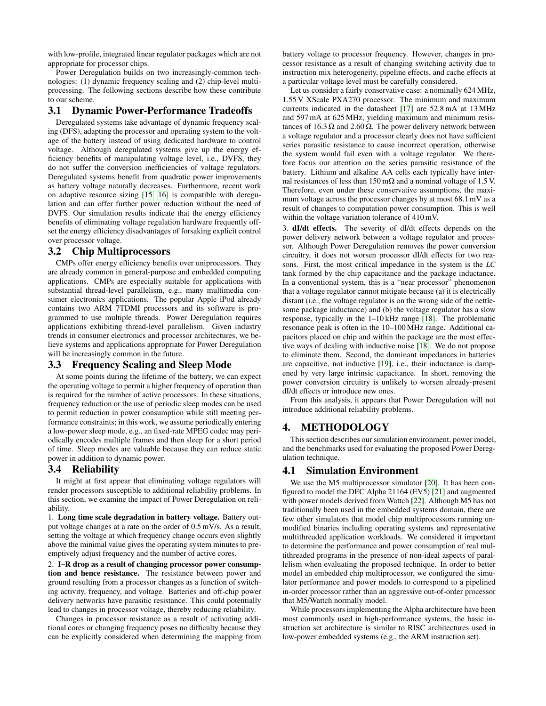with low-profile, integrated linear regulator packages which are not appropriate for processor chips.

Power Deregulation builds on two increasingly-common technologies: (1) dynamic frequency scaling and (2) chip-level multiprocessing. The following sections describe how these contribute to our scheme.

# 3.1 Dynamic Power-Performance Tradeoffs

Deregulated systems take advantage of dynamic frequency scaling (DFS), adapting the processor and operating system to the voltage of the battery instead of using dedicated hardware to control voltage. Although deregulated systems give up the energy efficiency benefits of manipulating voltage level, i.e., DVFS, they do not suffer the conversion inefficiencies of voltage regulators. Deregulated systems benefit from quadratic power improvements as battery voltage naturally decreases. Furthermore, recent work on adaptive resource sizing [\[15,](#page-5-14) [16\]](#page-5-15) is compatible with deregulation and can offer further power reduction without the need of DVFS. Our simulation results indicate that the energy efficiency benefits of eliminating voltage regulation hardware frequently offset the energy efficiency disadvantages of forsaking explicit control over processor voltage.

#### 3.2 Chip Multiprocessors

CMPs offer energy efficiency benefits over uniprocessors. They are already common in general-purpose and embedded computing applications. CMPs are especially suitable for applications with substantial thread-level parallelism, e.g., many multimedia consumer electronics applications. The popular Apple iPod already contains two ARM 7TDMI processors and its software is programmed to use multiple threads. Power Deregulation requires applications exhibiting thread-level parallelism. Given industry trends in consumer electronics and processor architectures, we believe systems and applications appropriate for Power Deregulation will be increasingly common in the future.

#### 3.3 Frequency Scaling and Sleep Mode

At some points during the lifetime of the battery, we can expect the operating voltage to permit a higher frequency of operation than is required for the number of active processors. In these situations, frequency reduction or the use of periodic sleep modes can be used to permit reduction in power consumption while still meeting performance constraints; in this work, we assume periodically entering a low-power sleep mode, e.g., an fixed-rate MPEG codec may periodically encodes multiple frames and then sleep for a short period of time. Sleep modes are valuable because they can reduce static power in addition to dynamic power.

# 3.4 Reliability

It might at first appear that eliminating voltage regulators will render processors susceptible to additional reliability problems. In this section, we examine the impact of Power Deregulation on reliability.

1. Long time scale degradation in battery voltage. Battery output voltage changes at a rate on the order of 0.5 mV/s. As a result, setting the voltage at which frequency change occurs even slightly above the minimal value gives the operating system minutes to preemptively adjust frequency and the number of active cores.

2. I–R drop as a result of changing processor power consumption and hence resistance. The resistance between power and ground resulting from a processor changes as a function of switching activity, frequency, and voltage. Batteries and off-chip power delivery networks have parasitic resistance. This could potentially lead to changes in processor voltage, thereby reducing reliability.

Changes in processor resistance as a result of activating additional cores or changing frequency poses no difficulty because they can be explicitly considered when determining the mapping from battery voltage to processor frequency. However, changes in processor resistance as a result of changing switching activity due to instruction mix heterogeneity, pipeline effects, and cache effects at a particular voltage level must be carefully considered.

Let us consider a fairly conservative case: a nominally 624 MHz, 1.55 V XScale PXA270 processor. The minimum and maximum currents indicated in the datasheet [\[17\]](#page-5-16) are 52.8 mA at 13 MHz and 597 mA at 625 MHz, yielding maximum and minimum resistances of 16.3 Ω and 2.60 Ω. The power delivery network between a voltage regulator and a processor clearly does not have sufficient series parasitic resistance to cause incorrect operation, otherwise the system would fail even with a voltage regulator. We therefore focus our attention on the series parasitic resistance of the battery. Lithium and alkaline AA cells each typically have internal resistances of less than  $150 \text{ mA}$  and a nominal voltage of 1.5 V. Therefore, even under these conservative assumptions, the maximum voltage across the processor changes by at most 68.1 mV as a result of changes to computation power consumption. This is well within the voltage variation tolerance of 410 mV.

3. dI/dt effects. The severity of dI/dt effects depends on the power delivery network between a voltage regulator and processor. Although Power Deregulation removes the power conversion circuitry, it does not worsen processor dI/dt effects for two reasons. First, the most critical impedance in the system is the *LC* tank formed by the chip capacitance and the package inductance. In a conventional system, this is a "near processor" phenomenon that a voltage regulator cannot mitigate because (a) it is electrically distant (i.e., the voltage regulator is on the wrong side of the nettlesome package inductance) and (b) the voltage regulator has a slow response, typically in the 1–10 kHz range [\[18\]](#page-5-17). The problematic resonance peak is often in the 10–100 MHz range. Additional capacitors placed on chip and within the package are the most effective ways of dealing with inductive noise [\[18\]](#page-5-17). We do not propose to eliminate them. Second, the dominant impedances in batteries are capacitive, not inductive [\[19\]](#page-5-18), i.e., their inductance is dampened by very large intrinsic capacitance. In short, removing the power conversion circuitry is unlikely to worsen already-present dI/dt effects or introduce new ones.

From this analysis, it appears that Power Deregulation will not introduce additional reliability problems.

#### 4. METHODOLOGY

This section describes our simulation environment, power model, and the benchmarks used for evaluating the proposed Power Deregulation technique.

# 4.1 Simulation Environment

We use the M5 multiprocessor simulator [\[20\]](#page-5-19). It has been configured to model the DEC Alpha 21164 (EV5) [\[21\]](#page-5-20) and augmented with power models derived from Wattch [\[22\]](#page-5-21). Although M5 has not traditionally been used in the embedded systems domain, there are few other simulators that model chip multiprocessors running unmodified binaries including operating systems and representative multithreaded application workloads. We considered it important to determine the performance and power consumption of real multithreaded programs in the presence of non-ideal aspects of parallelism when evaluating the proposed technique. In order to better model an embedded chip multiprocessor, we configured the simulator performance and power models to correspond to a pipelined in-order processor rather than an aggressive out-of-order processor that M5/Wattch normally model.

While processors implementing the Alpha architecture have been most commonly used in high-performance systems, the basic instruction set architecture is similar to RISC architectures used in low-power embedded systems (e.g., the ARM instruction set).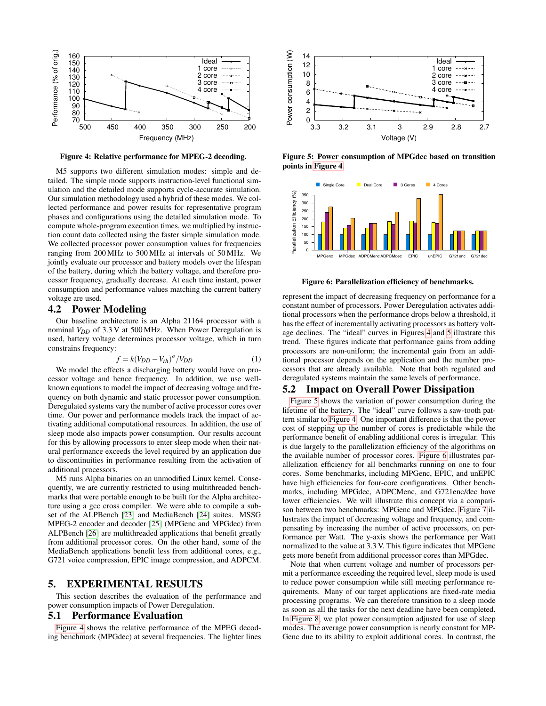

<span id="page-3-0"></span>Figure 4: Relative performance for MPEG-2 decoding.

M5 supports two different simulation modes: simple and detailed. The simple mode supports instruction-level functional simulation and the detailed mode supports cycle-accurate simulation. Our simulation methodology used a hybrid of these modes. We collected performance and power results for representative program phases and configurations using the detailed simulation mode. To compute whole-program execution times, we multiplied by instruction count data collected using the faster simple simulation mode. We collected processor power consumption values for frequencies ranging from 200 MHz to 500 MHz at intervals of 50 MHz. We jointly evaluate our processor and battery models over the lifespan of the battery, during which the battery voltage, and therefore processor frequency, gradually decrease. At each time instant, power consumption and performance values matching the current battery voltage are used.

## 4.2 Power Modeling

Our baseline architecture is an Alpha 21164 processor with a nominal  $V_{DD}$  of 3.3 V at 500 MHz. When Power Deregulation is used, battery voltage determines processor voltage, which in turn constrains frequency:

$$
f = k(V_{DD} - V_{th})^a / V_{DD}
$$
 (1)

We model the effects a discharging battery would have on processor voltage and hence frequency. In addition, we use wellknown equations to model the impact of decreasing voltage and frequency on both dynamic and static processor power consumption. Deregulated systems vary the number of active processor cores over time. Our power and performance models track the impact of activating additional computational resources. In addition, the use of sleep mode also impacts power consumption. Our results account for this by allowing processors to enter sleep mode when their natural performance exceeds the level required by an application due to discontinuities in performance resulting from the activation of additional processors.

M5 runs Alpha binaries on an unmodified Linux kernel. Consequently, we are currently restricted to using multithreaded benchmarks that were portable enough to be built for the Alpha architecture using a gcc cross compiler. We were able to compile a subset of the ALPBench [\[23\]](#page-5-22) and MediaBench [\[24\]](#page-5-23) suites. MSSG MPEG-2 encoder and decoder [\[25\]](#page-5-24) (MPGenc and MPGdec) from ALPBench [\[26\]](#page-5-25) are multithreaded applications that benefit greatly from additional processor cores. On the other hand, some of the MediaBench applications benefit less from additional cores, e.g., G721 voice compression, EPIC image compression, and ADPCM.

#### 5. EXPERIMENTAL RESULTS

This section describes the evaluation of the performance and power consumption impacts of Power Deregulation.

#### 5.1 Performance Evaluation

[Figure 4](#page-3-0) shows the relative performance of the MPEG decoding benchmark (MPGdec) at several frequencies. The lighter lines



<span id="page-3-1"></span>Figure 5: Power consumption of MPGdec based on transition points in [Figure 4.](#page-3-0)



<span id="page-3-2"></span>Figure 6: Parallelization efficiency of benchmarks.

represent the impact of decreasing frequency on performance for a constant number of processors. Power Deregulation activates additional processors when the performance drops below a threshold, it has the effect of incrementally activating processors as battery voltage declines. The "ideal" curves in Figures [4](#page-3-0) and [5](#page-3-1) illustrate this trend. These figures indicate that performance gains from adding processors are non-uniform; the incremental gain from an additional processor depends on the application and the number processors that are already available. Note that both regulated and deregulated systems maintain the same levels of performance.

# 5.2 Impact on Overall Power Dissipation

[Figure 5](#page-3-1) shows the variation of power consumption during the lifetime of the battery. The "ideal" curve follows a saw-tooth pattern similar to [Figure 4.](#page-3-0) One important difference is that the power cost of stepping up the number of cores is predictable while the performance benefit of enabling additional cores is irregular. This is due largely to the parallelization efficiency of the algorithms on the available number of processor cores. [Figure 6](#page-3-2) illustrates parallelization efficiency for all benchmarks running on one to four cores. Some benchmarks, including MPGenc, EPIC, and unEPIC have high efficiencies for four-core configurations. Other benchmarks, including MPGdec, ADPCMenc, and G721enc/dec have lower efficiencies. We will illustrate this concept via a comparison between two benchmarks: MPGenc and MPGdec. [Figure 7](#page-4-1) illustrates the impact of decreasing voltage and frequency, and compensating by increasing the number of active processors, on performance per Watt. The y-axis shows the performance per Watt normalized to the value at 3.3 V. This figure indicates that MPGenc gets more benefit from additional processor cores than MPGdec.

Note that when current voltage and number of processors permit a performance exceeding the required level, sleep mode is used to reduce power consumption while still meeting performance requirements. Many of our target applications are fixed-rate media processing programs. We can therefore transition to a sleep mode as soon as all the tasks for the next deadline have been completed. In [Figure 8,](#page-4-2) we plot power consumption adjusted for use of sleep modes. The average power consumption is nearly constant for MP-Genc due to its ability to exploit additional cores. In contrast, the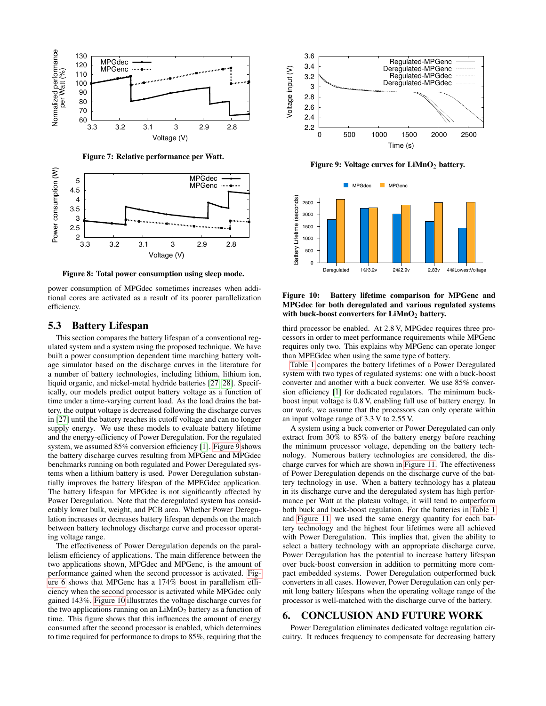

<span id="page-4-1"></span>Figure 7: Relative performance per Watt.



<span id="page-4-2"></span>Figure 8: Total power consumption using sleep mode.

power consumption of MPGdec sometimes increases when additional cores are activated as a result of its poorer parallelization efficiency.

## 5.3 Battery Lifespan

This section compares the battery lifespan of a conventional regulated system and a system using the proposed technique. We have built a power consumption dependent time marching battery voltage simulator based on the discharge curves in the literature for a number of battery technologies, including lithium, lithium ion, liquid organic, and nickel-metal hydride batteries [\[27,](#page-5-26) [28\]](#page-5-27). Specifically, our models predict output battery voltage as a function of time under a time-varying current load. As the load drains the battery, the output voltage is decreased following the discharge curves in [\[27\]](#page-5-26) until the battery reaches its cutoff voltage and can no longer supply energy. We use these models to evaluate battery lifetime and the energy-efficiency of Power Deregulation. For the regulated system, we assumed 85% conversion efficiency [\[1\]](#page-5-0). [Figure 9](#page-4-0) shows the battery discharge curves resulting from MPGenc and MPGdec benchmarks running on both regulated and Power Deregulated systems when a lithium battery is used. Power Deregulation substantially improves the battery lifespan of the MPEGdec application. The battery lifespan for MPGdec is not significantly affected by Power Deregulation. Note that the deregulated system has considerably lower bulk, weight, and PCB area. Whether Power Deregulation increases or decreases battery lifespan depends on the match between battery technology discharge curve and processor operating voltage range.

The effectiveness of Power Deregulation depends on the parallelism efficiency of applications. The main difference between the two applications shown, MPGdec and MPGenc, is the amount of performance gained when the second processor is activated. [Fig](#page-3-2)[ure 6](#page-3-2) shows that MPGenc has a 174% boost in parallelism efficiency when the second processor is activated while MPGdec only gained 143%. [Figure 10](#page-4-3) illustrates the voltage discharge curves for the two applications running on an  $LiMnO<sub>2</sub>$  battery as a function of time. This figure shows that this influences the amount of energy consumed after the second processor is enabled, which determines to time required for performance to drops to 85%, requiring that the



<span id="page-4-0"></span>Figure 9: Voltage curves for  $LimO<sub>2</sub>$  battery.



#### <span id="page-4-3"></span>Figure 10: Battery lifetime comparison for MPGenc and MPGdec for both deregulated and various regulated systems with buck-boost converters for  $LiMnO<sub>2</sub>$  battery.

third processor be enabled. At 2.8 V, MPGdec requires three processors in order to meet performance requirements while MPGenc requires only two. This explains why MPGenc can operate longer than MPEGdec when using the same type of battery.

[Table 1](#page-5-28) compares the battery lifetimes of a Power Deregulated system with two types of regulated systems: one with a buck-boost converter and another with a buck converter. We use 85% conversion efficiency [\[1\]](#page-5-0) for dedicated regulators. The minimum buckboost input voltage is 0.8 V, enabling full use of battery energy. In our work, we assume that the processors can only operate within an input voltage range of 3.3 V to 2.55 V.

A system using a buck converter or Power Deregulated can only extract from 30% to 85% of the battery energy before reaching the minimum processor voltage, depending on the battery technology. Numerous battery technologies are considered, the discharge curves for which are shown in [Figure 11.](#page-5-29) The effectiveness of Power Deregulation depends on the discharge curve of the battery technology in use. When a battery technology has a plateau in its discharge curve and the deregulated system has high performance per Watt at the plateau voltage, it will tend to outperform both buck and buck-boost regulation. For the batteries in [Table 1](#page-5-28) and [Figure 11,](#page-5-29) we used the same energy quantity for each battery technology and the highest four lifetimes were all achieved with Power Deregulation. This implies that, given the ability to select a battery technology with an appropriate discharge curve, Power Deregulation has the potential to increase battery lifespan over buck-boost conversion in addition to permitting more compact embedded systems. Power Deregulation outperformed buck converters in all cases. However, Power Deregulation can only permit long battery lifespans when the operating voltage range of the processor is well-matched with the discharge curve of the battery.

#### 6. CONCLUSION AND FUTURE WORK

Power Deregulation eliminates dedicated voltage regulation circuitry. It reduces frequency to compensate for decreasing battery